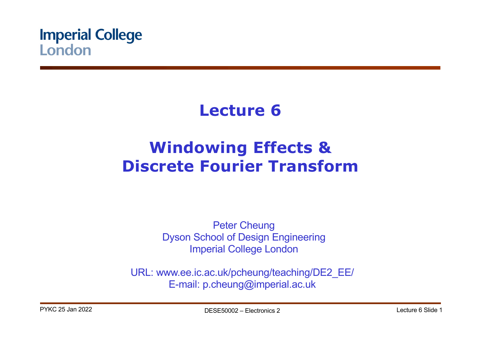

# **Lecture 6**

# **Windowing Effects & Discrete Fourier Transform**

Peter Cheung Dyson School of Design Engineering Imperial College London

URL: www.ee.ic.ac.uk/pcheung/teaching/DE2\_EE/ E-mail: p.cheung@imperial.ac.uk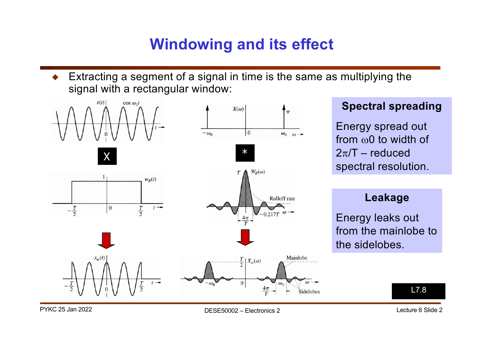## **Windowing and its effect**

Extracting a segment of a signal in time is the same as multiplying the signal with a rectangular window:



### **Spectral spreading**

Energy spread out from  $\omega_0$  to width of  $2\pi/T$  – reduced spectral resolution.

### **Leakage**

Energy leaks out from the mainlobe to the sidelobes.

L7.8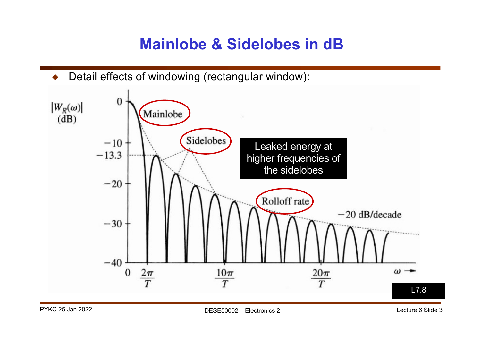## **Mainlobe & Sidelobes in dB**

! Detail effects of windowing (rectangular window):

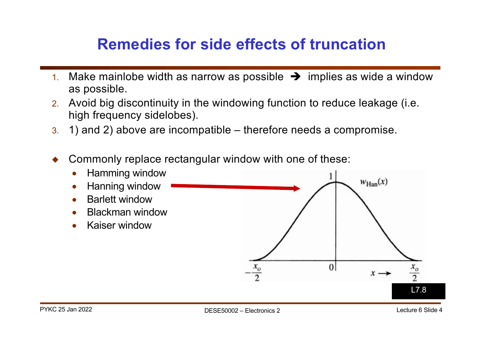# **Remedies for side effects of truncation**

- 1. Make mainlobe width as narrow as possible  $\rightarrow$  implies as wide a window as possible.
- 2. Avoid big discontinuity in the windowing function to reduce leakage (i.e. high frequency sidelobes).
- 3. 1) and 2) above are incompatible therefore needs a compromise.
- ! Commonly replace rectangular window with one of these:

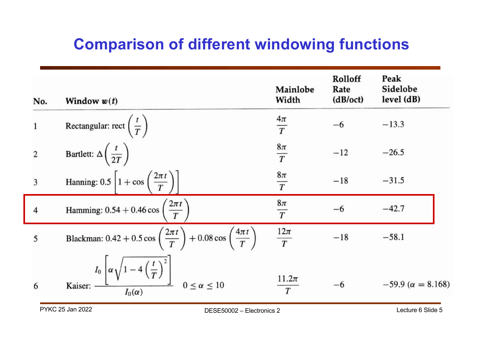# **Comparison of different windowing functions**

| No.            | Window $w(t)$                                                                                                      | Mainlobe<br>Width        | Rolloff<br>Rate<br>(dB/oct) | Peak<br>Sidelobe<br>level(dB) |
|----------------|--------------------------------------------------------------------------------------------------------------------|--------------------------|-----------------------------|-------------------------------|
| $\mathbf{1}$   | Rectangular: rect $\left(\frac{t}{T}\right)$                                                                       | $\frac{4\pi}{T}$         | $-6$                        | $-13.3$                       |
| $\overline{2}$ | Bartlett: $\Delta\left(\frac{t}{2T}\right)$                                                                        | $\frac{8\pi}{T}$         | $-12$                       | $-26.5$                       |
| 3              | Hanning: 0.5 $\left[1+\cos\left(\frac{2\pi t}{T}\right)\right]$                                                    | $\frac{8\pi}{T}$         | $-18$                       | $-31.5$                       |
| $\overline{4}$ | Hamming: $0.54 + 0.46 \cos \left( \frac{2 \pi t}{T} \right)$                                                       | $8\pi$<br>$\overline{T}$ | $-6$                        | $-42.7$                       |
| 5              | Blackman: 0.42 + 0.5 cos $\left(\frac{2\pi t}{T}\right)$ + 0.08 cos $\left(\frac{4\pi t}{T}\right)$                | $\frac{12\pi}{T}$        | $-18$                       | $-58.1$                       |
| 6              | Kaiser: $\frac{I_0}{I_0(\alpha)} \left[\alpha \sqrt{1 - 4\left(\frac{t}{T}\right)^2}\right]$ $0 \le \alpha \le 10$ | $11.2\pi$<br>T           | $-6$                        | $-59.9 (\alpha = 8.168)$      |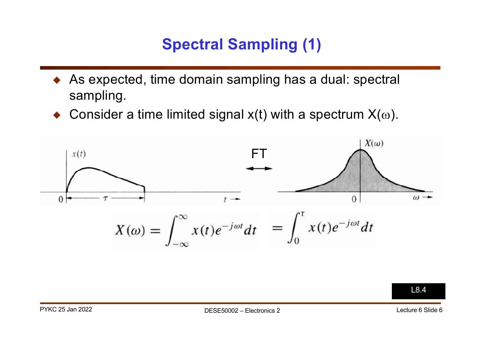# **Spectral Sampling (1)**

- As expected, time domain sampling has a dual: spectral sampling.
- $\bullet$  Consider a time limited signal x(t) with a spectrum  $X(\omega)$ .



L8.4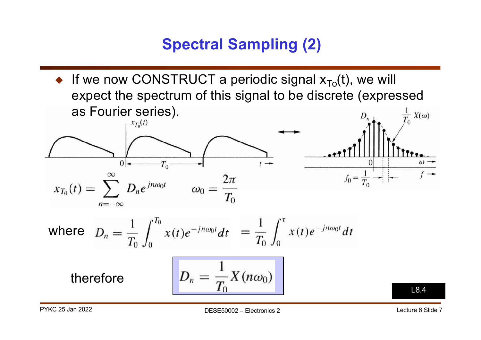# **Spectral Sampling (2)**

 $\bullet$  If we now CONSTRUCT a periodic signal  $x_{To}(t)$ , we will expect the spectrum of this signal to be discrete (expressed as Fourier series).  $\frac{1}{T_0} X(\omega)$  $x_{T_0}(t)$  $\Omega$  $T_0$  $f_0 = \frac{1}{T_0}$  $\omega_0 = \frac{2\pi}{T_0}$  $x_{T_0}(t) = \sum D_n e^{jn\omega_0 t}$ where  $D_n = \frac{1}{T_0} \int_0^{T_0} x(t) e^{-jn\omega_0 t} dt = \frac{1}{T_0} \int_0^{\tau} x(t) e^{-jn\omega_0 t} dt$  $D_n = \frac{1}{\pi} X(n\omega_0)$ therefore L8.4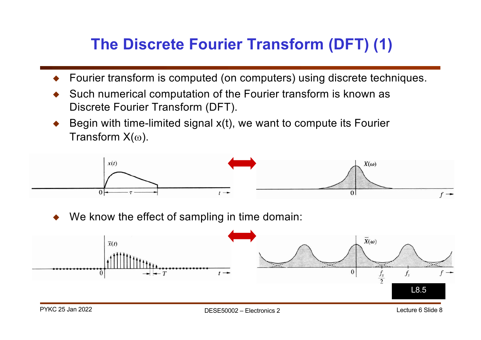# **The Discrete Fourier Transform (DFT) (1)**

- ! Fourier transform is computed (on computers) using discrete techniques.
- Such numerical computation of the Fourier transform is known as Discrete Fourier Transform (DFT).
- Begin with time-limited signal x(t), we want to compute its Fourier Transform  $X(\omega)$ .



We know the effect of sampling in time domain:

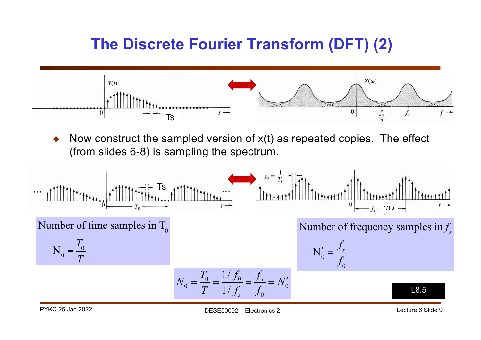# **The Discrete Fourier Transform (DFT) (2)**



Now construct the sampled version of  $x(t)$  as repeated copies. The effect (from slides 6-8) is sampling the spectrum.

$$
N_0 = \frac{T_0}{T}
$$
  
\nNumber of time samples in T<sub>0</sub>  
\n
$$
N_0 = \frac{T_0}{T} = \frac{1/f_0}{1/f_s} = \frac{f_s}{f_0} = N'_0
$$
\n
$$
N_0 = \frac{T_0}{T} = \frac{1/f_0}{1/f_s} = \frac{f_s}{f_0} = N'_0
$$
\nL23.5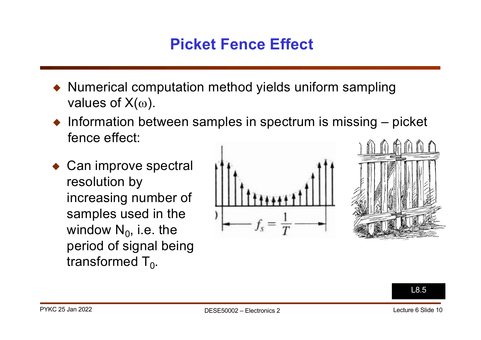# **Picket Fence Effect**

- Numerical computation method yields uniform sampling values of  $X(\omega)$ .
- $\bullet$  Information between samples in spectrum is missing  $-$  picket fence effect:
- $\bullet$  Can improve spectral resolution by increasing number of samples used in the window  $N_0$ , i.e. the period of signal being transformed  $T_0$ .





L8.5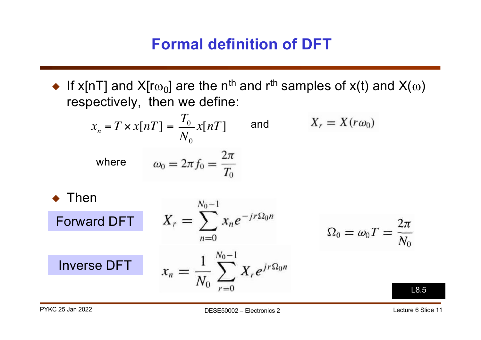# **Formal definition of DFT**

 $\blacklozenge$  If x[nT] and X[r $\omega_0$ ] are the n<sup>th</sup> and r<sup>th</sup> samples of x(t) and X( $\omega$ ) respectively, then we define:

$$
x_{n} = T \times x[n] = \frac{T_{0}}{N_{0}} x[n]
$$
 and 
$$
X_{r} = X(r\omega_{0})
$$
  
where 
$$
\omega_{0} = 2\pi f_{0} = \frac{2\pi}{T_{0}}
$$
  
Then  
Forward DFT 
$$
X_{r} = \sum_{n=0}^{N_{0}-1} x_{n} e^{-j r \Omega_{0} n} \qquad \Omega_{0} = \omega_{0} T
$$

 $x_n = \frac{1}{N_0} \sum_{r=0}^{N_0-1} X_r e^{jr\Omega_0 n}$ 

L8.5

Inverse DFT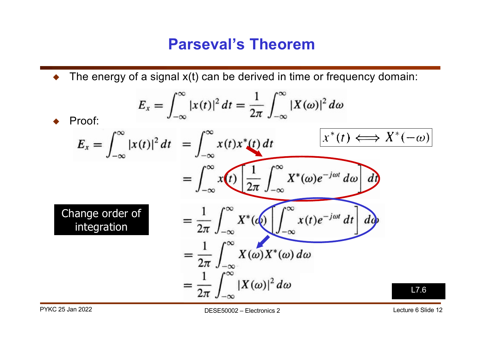### **Parseval's Theorem**

 $\blacklozenge$  The energy of a signal  $x(t)$  can be derived in time or frequency domain:

$$
E_x = \int_{-\infty}^{\infty} |x(t)|^2 dt = \frac{1}{2\pi} \int_{-\infty}^{\infty} |X(\omega)|^2 d\omega
$$
  
\n• Proof:  
\n
$$
E_x = \int_{-\infty}^{\infty} |x(t)|^2 dt = \int_{-\infty}^{\infty} x(t) x^*(t) dt \qquad \boxed{x^*(t) \Longleftrightarrow X^*(-\omega)}
$$
\n
$$
= \int_{-\infty}^{\infty} x(t) \underbrace{\frac{1}{2\pi} \int_{-\infty}^{\infty} X^*(\omega) e^{-j\omega t} d\omega}_{\text{integration}}
$$
\n
$$
= \frac{1}{2\pi} \int_{-\infty}^{\infty} X^*(\omega) \underbrace{\int_{-\infty}^{\infty} x(t) e^{-j\omega t} dt}_{\text{integration}}
$$
\n
$$
= \frac{1}{2\pi} \int_{-\infty}^{\infty} X(\omega) X^*(\omega) d\omega
$$
\n
$$
= \frac{1}{2\pi} \int_{-\infty}^{\infty} |X(\omega)|^2 d\omega
$$
\n17.6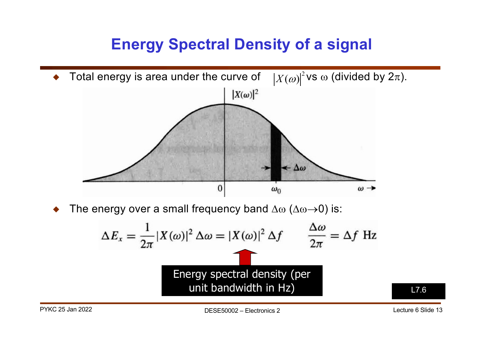## **Energy Spectral Density of a signal**



The energy over a small frequency band  $\Delta\omega$  ( $\Delta\omega\rightarrow0$ ) is:

$$
\Delta E_x = \frac{1}{2\pi} |X(\omega)|^2 \,\Delta \omega = |X(\omega)|^2 \,\Delta f \qquad \frac{\Delta \omega}{2\pi} = \Delta f \text{ Hz}
$$
  
Energy spectral density (per unit bandwidth in Hz)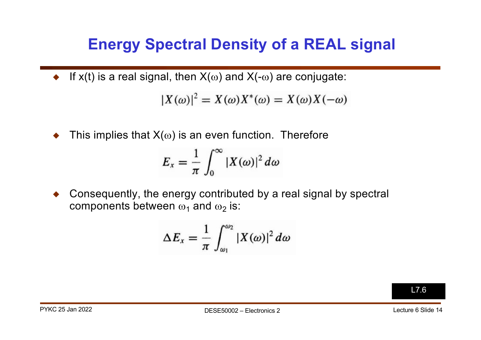## **Energy Spectral Density of a REAL signal**

If x(t) is a real signal, then  $X(\omega)$  and  $X(-\omega)$  are conjugate:

$$
|X(\omega)|^2 = X(\omega)X^*(\omega) = X(\omega)X(-\omega)
$$

This implies that  $X(\omega)$  is an even function. Therefore

$$
E_x = \frac{1}{\pi} \int_0^\infty |X(\omega)|^2 d\omega
$$

! Consequently, the energy contributed by a real signal by spectral components between  $\omega_1$  and  $\omega_2$  is:

$$
\Delta E_x = \frac{1}{\pi} \int_{\omega_1}^{\omega_2} |X(\omega)|^2 d\omega
$$

L7.6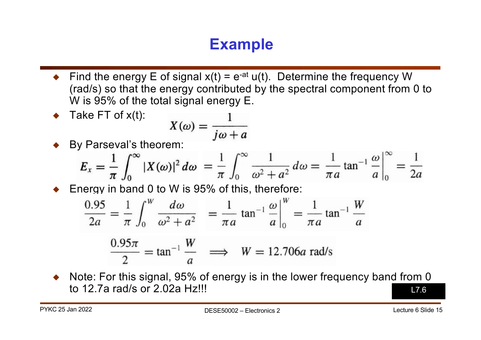# **Example**

- Find the energy E of signal  $x(t) = e^{-at} u(t)$ . Determine the frequency W (rad/s) so that the energy contributed by the spectral component from 0 to W is 95% of the total signal energy E.
- Take FT of  $x(t)$ : Take FI of x(t):<br>By Parseval's theorem:<br>By Parseval's theorem:
- 

$$
E_x = \frac{1}{\pi} \int_0^{\infty} |X(\omega)|^2 d\omega = \frac{1}{\pi} \int_0^{\infty} \frac{1}{\omega^2 + a^2} d\omega = \frac{1}{\pi a} \tan^{-1} \frac{\omega}{a} \Big|_0^{\infty} = \frac{1}{2a}
$$

Energy in band 0 to W is 95% of this, therefore:

$$
\frac{0.95}{2a} = \frac{1}{\pi} \int_0^W \frac{d\omega}{\omega^2 + a^2} = \frac{1}{\pi a} \tan^{-1} \frac{\omega}{a} \Big|_0^W = \frac{1}{\pi a} \tan^{-1} \frac{W}{a}
$$

$$
\frac{0.95\pi}{2} = \tan^{-1}\frac{W}{a} \implies W = 12.706a \text{ rad/s}
$$

Note: For this signal, 95% of energy is in the lower frequency band from 0 to 12.7a rad/s or 2.02a Hz!!! L7.6